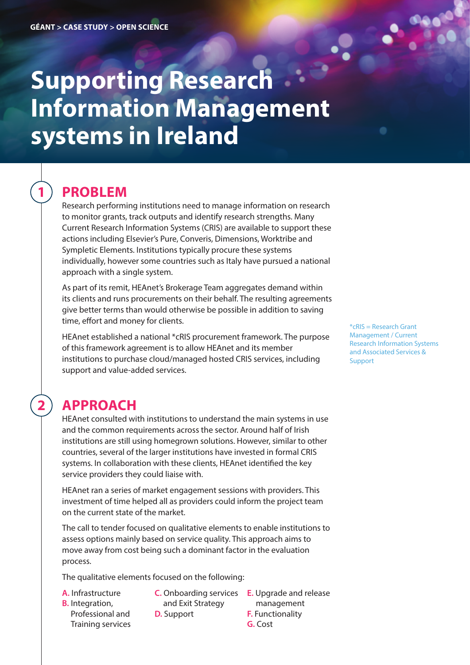# **Supporting Research Information Management systems in Ireland**

## **PROBLEM**

**1**

**2**

Research performing institutions need to manage information on research to monitor grants, track outputs and identify research strengths. Many Current Research Information Systems (CRIS) are available to support these actions including Elsevier's Pure, Converis, Dimensions, Worktribe and Sympletic Elements. Institutions typically procure these systems individually, however some countries such as Italy have pursued a national approach with a single system.

As part of its remit, HEAnet's Brokerage Team aggregates demand within its clients and runs procurements on their behalf. The resulting agreements give better terms than would otherwise be possible in addition to saving time, effort and money for clients.

HEAnet established a national \*cRIS procurement framework. The purpose of this framework agreement is to allow HEAnet and its member institutions to purchase cloud/managed hosted CRIS services, including support and value-added services.

## **APPROACH**

HEAnet consulted with institutions to understand the main systems in use and the common requirements across the sector. Around half of Irish institutions are still using homegrown solutions. However, similar to other countries, several of the larger institutions have invested in formal CRIS systems. In collaboration with these clients, HEAnet identified the key service providers they could liaise with.

HEAnet ran a series of market engagement sessions with providers. This investment of time helped all as providers could inform the project team on the current state of the market.

The call to tender focused on qualitative elements to enable institutions to assess options mainly based on service quality. This approach aims to move away from cost being such a dominant factor in the evaluation process.

The qualitative elements focused on the following:

- **A.** Infrastructure
- **B.** Integration, Professional and Training services
- and Exit Strategy
- **D.** Support
- **C.** Onboarding services **E.** Upgrade and release management **F.** Functionality **G.** Cost

\*cRIS = Research Grant Management / Current Research Information Systems and Associated Services & Support